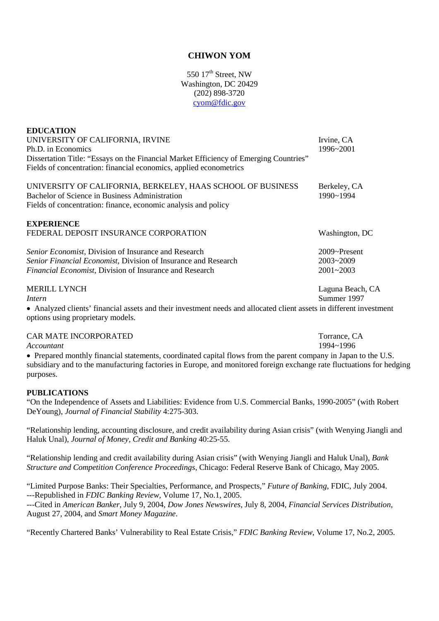# **CHIWON YOM**

550 17<sup>th</sup> Street, NW Washington, DC 20429 (202) 898-3720 [cyom@fdic.gov](mailto:cyom@fdic.gov)

| <b>EDUCATION</b><br>UNIVERSITY OF CALIFORNIA, IRVINE<br>Ph.D. in Economics<br>Dissertation Title: "Essays on the Financial Market Efficiency of Emerging Countries"<br>Fields of concentration: financial economics, applied econometrics | Irvine, CA<br>1996~2001                           |
|-------------------------------------------------------------------------------------------------------------------------------------------------------------------------------------------------------------------------------------------|---------------------------------------------------|
| UNIVERSITY OF CALIFORNIA, BERKELEY, HAAS SCHOOL OF BUSINESS<br>Bachelor of Science in Business Administration<br>Fields of concentration: finance, economic analysis and policy                                                           | Berkeley, CA<br>1990~1994                         |
| <b>EXPERIENCE</b><br>FEDERAL DEPOSIT INSURANCE CORPORATION                                                                                                                                                                                | Washington, DC                                    |
| Senior Economist, Division of Insurance and Research<br>Senior Financial Economist, Division of Insurance and Research<br>Financial Economist, Division of Insurance and Research                                                         | $2009$ ~Present<br>$2003 - 2009$<br>$2001 - 2003$ |
| <b>MERILL LYNCH</b><br>Intern<br>• Analyzed clients' financial assets and their investment needs and allocated client assets in different investment<br>options using proprietary models.                                                 | Laguna Beach, CA<br>Summer 1997                   |

CAR MATE INCORPORATED TOTAL TO THE SERVICE OF THE CONTRACTED TO THE SERVICE OF THE SERVICE OF THE SERVICE OF THE SERVICE OF THE SERVICE OF THE SERVICE OF THE SERVICE OF THE SERVICE OF THE SERVICE OF THE SERVICE OF THE SERV

*Accountant* 1994~1996

• Prepared monthly financial statements, coordinated capital flows from the parent company in Japan to the U.S. subsidiary and to the manufacturing factories in Europe, and monitored foreign exchange rate fluctuations for hedging purposes.

## **PUBLICATIONS**

"On the Independence of Assets and Liabilities: Evidence from U.S. Commercial Banks, 1990-2005" (with Robert DeYoung), *Journal of Financial Stability* 4:275-303.

"Relationship lending, accounting disclosure, and credit availability during Asian crisis" (with Wenying Jiangli and Haluk Unal), *Journal of Money, Credit and Banking* 40:25-55.

"Relationship lending and credit availability during Asian crisis" (with Wenying Jiangli and Haluk Unal), *Bank Structure and Competition Conference Proceedings*, Chicago: Federal Reserve Bank of Chicago, May 2005.

"Limited Purpose Banks: Their Specialties, Performance, and Prospects," *Future of Banking*, FDIC, July 2004. ---Republished in *FDIC Banking Review,* Volume 17, No.1, 2005.

---Cited in *American Banker*, July 9, 2004, *Dow Jones Newswires*, July 8, 2004, *Financial Services Distribution*, August 27, 2004, and *Smart Money Magazine*.

"Recently Chartered Banks' Vulnerability to Real Estate Crisis," *FDIC Banking Review*, Volume 17, No.2, 2005.